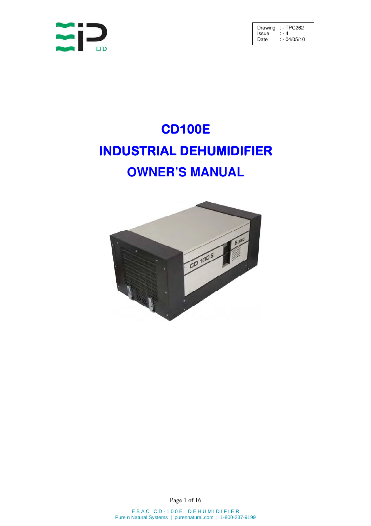

# CD100E INDUSTRIAL DEHUMIDIFIER **OWNER'S MANUAL**



Page 1 of 16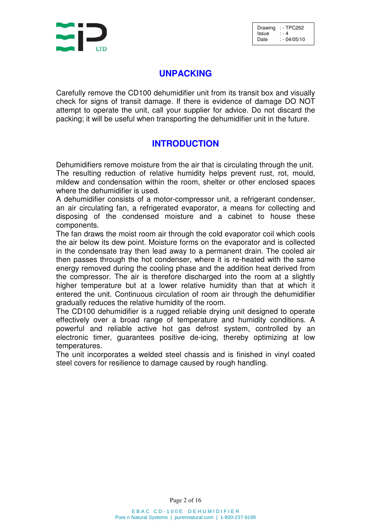

# **UNPACKING**

Carefully remove the CD100 dehumidifier unit from its transit box and visually check for signs of transit damage. If there is evidence of damage DO NOT attempt to operate the unit, call your supplier for advice. Do not discard the packing; it will be useful when transporting the dehumidifier unit in the future.

# **INTRODUCTION**

Dehumidifiers remove moisture from the air that is circulating through the unit. The resulting reduction of relative humidity helps prevent rust, rot, mould, mildew and condensation within the room, shelter or other enclosed spaces where the dehumidifier is used.

A dehumidifier consists of a motor-compressor unit, a refrigerant condenser, an air circulating fan, a refrigerated evaporator, a means for collecting and disposing of the condensed moisture and a cabinet to house these components.

The fan draws the moist room air through the cold evaporator coil which cools the air below its dew point. Moisture forms on the evaporator and is collected in the condensate tray then lead away to a permanent drain. The cooled air then passes through the hot condenser, where it is re-heated with the same energy removed during the cooling phase and the addition heat derived from the compressor. The air is therefore discharged into the room at a slightly higher temperature but at a lower relative humidity than that at which it entered the unit. Continuous circulation of room air through the dehumidifier gradually reduces the relative humidity of the room.

The CD100 dehumidifier is a rugged reliable drying unit designed to operate effectively over a broad range of temperature and humidity conditions. A powerful and reliable active hot gas defrost system, controlled by an electronic timer, guarantees positive de-icing, thereby optimizing at low temperatures.

The unit incorporates a welded steel chassis and is finished in vinyl coated steel covers for resilience to damage caused by rough handling.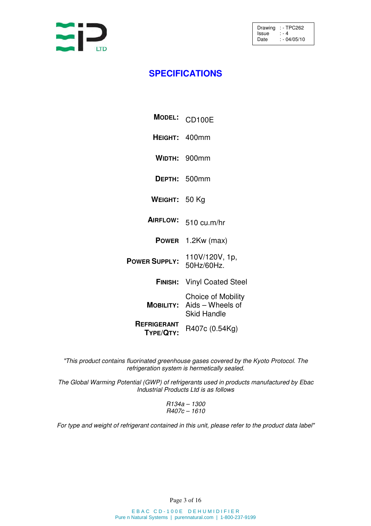

# **SPECIFICATIONS**

| <b>MODEL:</b>                   | <b>CD100E</b>                                                       |
|---------------------------------|---------------------------------------------------------------------|
| HEIGHT: 400mm                   |                                                                     |
|                                 | WIDTH: 900mm                                                        |
|                                 | DEPTH: 500mm                                                        |
| WEIGHT: 50 Kg                   |                                                                     |
| <b>AIRFLOW:</b>                 | $510 \text{ cu.m/hr}$                                               |
| <b>POWER</b>                    | $1.2Kw$ (max)                                                       |
| <b>POWER SUPPLY:</b>            | 110V/120V, 1p,<br>50Hz/60Hz.                                        |
| <b>FINISH:</b>                  | <b>Vinyl Coated Steel</b>                                           |
| <b>MOBILITY:</b>                | <b>Choice of Mobility</b><br>Aids - Wheels of<br><b>Skid Handle</b> |
| <b>REFRIGERANT</b><br>TYPE/QTY: | R407c (0.54Kg)                                                      |

"This product contains fluorinated greenhouse gases covered by the Kyoto Protocol. The refrigeration system is hermetically sealed.

The Global Warming Potential (GWP) of refrigerants used in products manufactured by Ebac Industrial Products Ltd is as follows

> R134a – 1300 R407c – 1610

For type and weight of refrigerant contained in this unit, please refer to the product data label"

Page 3 of 16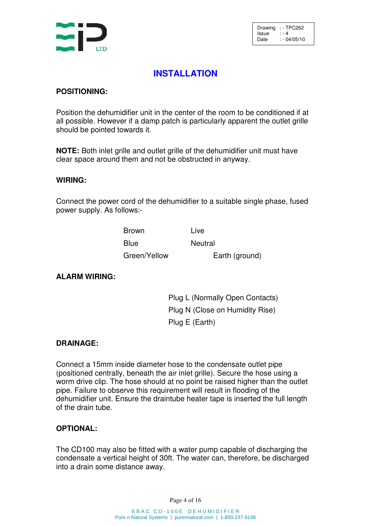

# **INSTALLATION**

### **POSITIONING:**

Position the dehumidifier unit in the center of the room to be conditioned if at all possible. However if a damp patch is particularly apparent the outlet grille should be pointed towards it.

**NOTE:** Both inlet grille and outlet grille of the dehumidifier unit must have clear space around them and not be obstructed in anyway.

#### **WIRING:**

Connect the power cord of the dehumidifier to a suitable single phase, fused power supply. As follows:-

| Brown        | Live           |
|--------------|----------------|
| Blue         | Neutral        |
| Green/Yellow | Earth (ground) |

#### **ALARM WIRING:**

Plug L (Normally Open Contacts) Plug N (Close on Humidity Rise) Plug E (Earth)

#### **DRAINAGE:**

Connect a 15mm inside diameter hose to the condensate outlet pipe (positioned centrally, beneath the air inlet grille). Secure the hose using a worm drive clip. The hose should at no point be raised higher than the outlet pipe. Failure to observe this requirement will result in flooding of the dehumidifier unit. Ensure the draintube heater tape is inserted the full length of the drain tube.

#### **OPTIONAL:**

The CD100 may also be fitted with a water pump capable of discharging the condensate a vertical height of 30ft. The water can, therefore, be discharged into a drain some distance away.

Page 4 of 16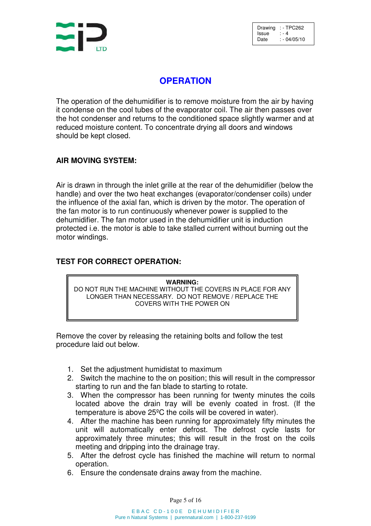

# **OPERATION**

The operation of the dehumidifier is to remove moisture from the air by having it condense on the cool tubes of the evaporator coil. The air then passes over the hot condenser and returns to the conditioned space slightly warmer and at reduced moisture content. To concentrate drying all doors and windows should be kept closed.

### **AIR MOVING SYSTEM:**

Air is drawn in through the inlet grille at the rear of the dehumidifier (below the handle) and over the two heat exchanges (evaporator/condenser coils) under the influence of the axial fan, which is driven by the motor. The operation of the fan motor is to run continuously whenever power is supplied to the dehumidifier. The fan motor used in the dehumidifier unit is induction protected i.e. the motor is able to take stalled current without burning out the motor windings.

### **TEST FOR CORRECT OPERATION:**

**WARNING:**

DO NOT RUN THE MACHINE WITHOUT THE COVERS IN PLACE FOR ANY LONGER THAN NECESSARY. DO NOT REMOVE / REPLACE THE COVERS WITH THE POWER ON

Remove the cover by releasing the retaining bolts and follow the test procedure laid out below.

- 1. Set the adjustment humidistat to maximum
- 2. Switch the machine to the on position; this will result in the compressor starting to run and the fan blade to starting to rotate.
- 3. When the compressor has been running for twenty minutes the coils located above the drain tray will be evenly coated in frost. (If the temperature is above 25ºC the coils will be covered in water).
- 4. After the machine has been running for approximately fifty minutes the unit will automatically enter defrost. The defrost cycle lasts for approximately three minutes; this will result in the frost on the coils meeting and dripping into the drainage tray.
- 5. After the defrost cycle has finished the machine will return to normal operation.
- 6. Ensure the condensate drains away from the machine.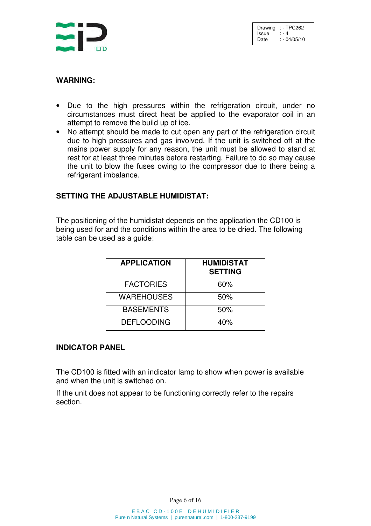

#### **WARNING:**

- Due to the high pressures within the refrigeration circuit, under no circumstances must direct heat be applied to the evaporator coil in an attempt to remove the build up of ice.
- No attempt should be made to cut open any part of the refrigeration circuit due to high pressures and gas involved. If the unit is switched off at the mains power supply for any reason, the unit must be allowed to stand at rest for at least three minutes before restarting. Failure to do so may cause the unit to blow the fuses owing to the compressor due to there being a refrigerant imbalance.

### **SETTING THE ADJUSTABLE HUMIDISTAT:**

The positioning of the humidistat depends on the application the CD100 is being used for and the conditions within the area to be dried. The following table can be used as a guide:

| <b>APPLICATION</b> | <b>HUMIDISTAT</b><br><b>SETTING</b> |  |  |
|--------------------|-------------------------------------|--|--|
| <b>FACTORIES</b>   | 60%                                 |  |  |
| <b>WAREHOUSES</b>  | 50%                                 |  |  |
| <b>BASEMENTS</b>   | 50%                                 |  |  |
| <b>DEFLOODING</b>  | 40%                                 |  |  |

#### **INDICATOR PANEL**

The CD100 is fitted with an indicator lamp to show when power is available and when the unit is switched on.

If the unit does not appear to be functioning correctly refer to the repairs section.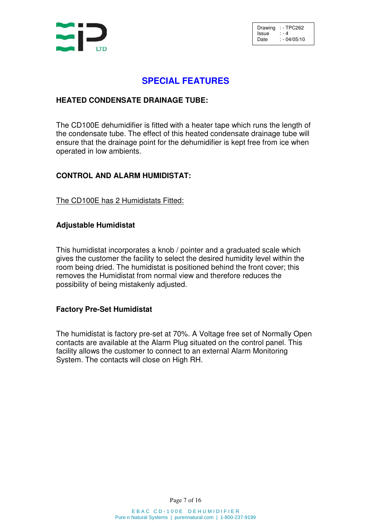

### **SPECIAL FEATURES**

#### **HEATED CONDENSATE DRAINAGE TUBE:**

The CD100E dehumidifier is fitted with a heater tape which runs the length of the condensate tube. The effect of this heated condensate drainage tube will ensure that the drainage point for the dehumidifier is kept free from ice when operated in low ambients.

#### **CONTROL AND ALARM HUMIDISTAT:**

#### The CD100E has 2 Humidistats Fitted:

#### **Adjustable Humidistat**

This humidistat incorporates a knob / pointer and a graduated scale which gives the customer the facility to select the desired humidity level within the room being dried. The humidistat is positioned behind the front cover; this removes the Humidistat from normal view and therefore reduces the possibility of being mistakenly adjusted.

#### **Factory Pre-Set Humidistat**

The humidistat is factory pre-set at 70%. A Voltage free set of Normally Open contacts are available at the Alarm Plug situated on the control panel. This facility allows the customer to connect to an external Alarm Monitoring System. The contacts will close on High RH.

Page 7 of 16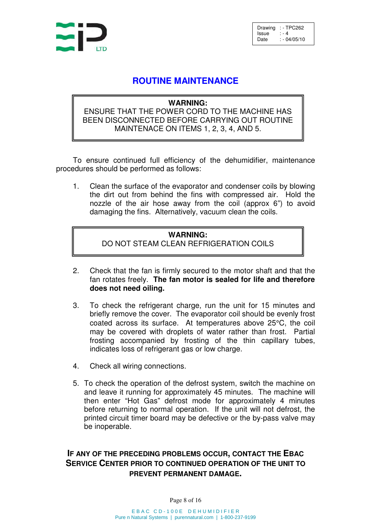

### **ROUTINE MAINTENANCE**

#### **WARNING:**

### ENSURE THAT THE POWER CORD TO THE MACHINE HAS BEEN DISCONNECTED BEFORE CARRYING OUT ROUTINE MAINTENACE ON ITEMS 1, 2, 3, 4, AND 5.

To ensure continued full efficiency of the dehumidifier, maintenance procedures should be performed as follows:

1. Clean the surface of the evaporator and condenser coils by blowing the dirt out from behind the fins with compressed air. Hold the nozzle of the air hose away from the coil (approx 6") to avoid damaging the fins. Alternatively, vacuum clean the coils.

### **WARNING:** DO NOT STEAM CLEAN REFRIGERATION COILS

- 2. Check that the fan is firmly secured to the motor shaft and that the fan rotates freely. **The fan motor is sealed for life and therefore does not need oiling.**
- 3. To check the refrigerant charge, run the unit for 15 minutes and briefly remove the cover. The evaporator coil should be evenly frost coated across its surface. At temperatures above 25°C, the coil may be covered with droplets of water rather than frost. Partial frosting accompanied by frosting of the thin capillary tubes, indicates loss of refrigerant gas or low charge.
- 4. Check all wiring connections.
- 5. To check the operation of the defrost system, switch the machine on and leave it running for approximately 45 minutes. The machine will then enter "Hot Gas" defrost mode for approximately 4 minutes before returning to normal operation. If the unit will not defrost, the printed circuit timer board may be defective or the by-pass valve may be inoperable.

## **IF ANY OF THE PRECEDING PROBLEMS OCCUR, CONTACT THE EBAC SERVICE CENTER PRIOR TO CONTINUED OPERATION OF THE UNIT TO PREVENT PERMANENT DAMAGE.**

Page 8 of 16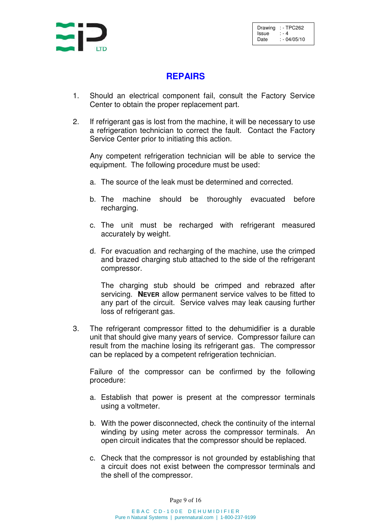

# **REPAIRS**

- 1. Should an electrical component fail, consult the Factory Service Center to obtain the proper replacement part.
- 2. If refrigerant gas is lost from the machine, it will be necessary to use a refrigeration technician to correct the fault. Contact the Factory Service Center prior to initiating this action.

Any competent refrigeration technician will be able to service the equipment. The following procedure must be used:

- a. The source of the leak must be determined and corrected.
- b. The machine should be thoroughly evacuated before recharging.
- c. The unit must be recharged with refrigerant measured accurately by weight.
- d. For evacuation and recharging of the machine, use the crimped and brazed charging stub attached to the side of the refrigerant compressor.

The charging stub should be crimped and rebrazed after servicing. **NEVER** allow permanent service valves to be fitted to any part of the circuit. Service valves may leak causing further loss of refrigerant gas.

3. The refrigerant compressor fitted to the dehumidifier is a durable unit that should give many years of service. Compressor failure can result from the machine losing its refrigerant gas. The compressor can be replaced by a competent refrigeration technician.

Failure of the compressor can be confirmed by the following procedure:

- a. Establish that power is present at the compressor terminals using a voltmeter.
- b. With the power disconnected, check the continuity of the internal winding by using meter across the compressor terminals. An open circuit indicates that the compressor should be replaced.
- c. Check that the compressor is not grounded by establishing that a circuit does not exist between the compressor terminals and the shell of the compressor.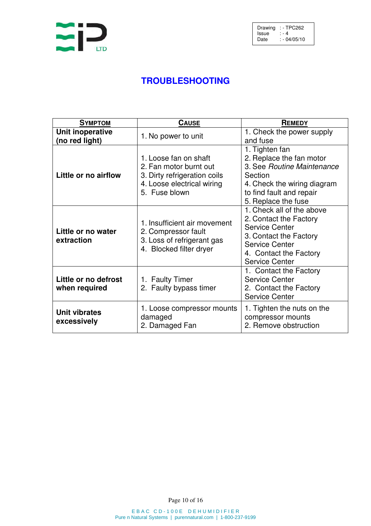

# **TROUBLESHOOTING**

| <b>SYMPTOM</b>                        | <b>CAUSE</b>                                                                                                                   | REMEDY                                                                                                                                                                             |  |
|---------------------------------------|--------------------------------------------------------------------------------------------------------------------------------|------------------------------------------------------------------------------------------------------------------------------------------------------------------------------------|--|
| Unit inoperative<br>(no red light)    | 1. No power to unit                                                                                                            | 1. Check the power supply<br>and fuse                                                                                                                                              |  |
| Little or no airflow                  | 1. Loose fan on shaft<br>2. Fan motor burnt out<br>3. Dirty refrigeration coils<br>4. Loose electrical wiring<br>5. Fuse blown | 1. Tighten fan<br>2. Replace the fan motor<br>3. See Routine Maintenance<br>Section<br>4. Check the wiring diagram<br>to find fault and repair<br>5. Replace the fuse              |  |
| Little or no water<br>extraction      | 1. Insufficient air movement<br>2. Compressor fault<br>3. Loss of refrigerant gas<br>4. Blocked filter dryer                   | 1. Check all of the above<br>2. Contact the Factory<br><b>Service Center</b><br>3. Contact the Factory<br><b>Service Center</b><br>4. Contact the Factory<br><b>Service Center</b> |  |
| Little or no defrost<br>when required | 1. Faulty Timer<br>2. Faulty bypass timer                                                                                      | 1. Contact the Factory<br><b>Service Center</b><br>2. Contact the Factory<br><b>Service Center</b>                                                                                 |  |
| <b>Unit vibrates</b><br>excessively   | 1. Loose compressor mounts<br>damaged<br>2. Damaged Fan                                                                        | 1. Tighten the nuts on the<br>compressor mounts<br>2. Remove obstruction                                                                                                           |  |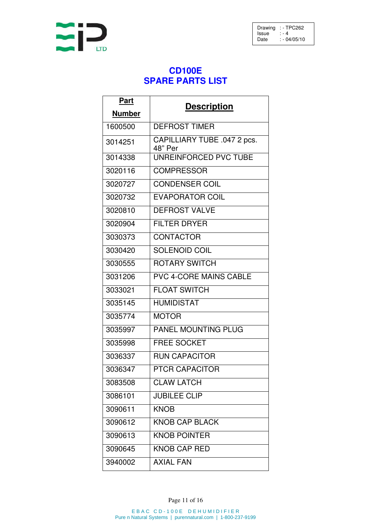

# **CD100E SPARE PARTS LIST**

| <b>Part</b>   |                                        |  |
|---------------|----------------------------------------|--|
| <b>Number</b> | <b>Description</b>                     |  |
| 1600500       | <b>DEFROST TIMER</b>                   |  |
| 3014251       | CAPILLIARY TUBE .047 2 pcs.<br>48" Per |  |
| 3014338       | <b>UNREINFORCED PVC TUBE</b>           |  |
| 3020116       | <b>COMPRESSOR</b>                      |  |
| 3020727       | <b>CONDENSER COIL</b>                  |  |
| 3020732       | <b>EVAPORATOR COIL</b>                 |  |
| 3020810       | <b>DEFROST VALVE</b>                   |  |
| 3020904       | <b>FILTER DRYER</b>                    |  |
| 3030373       | <b>CONTACTOR</b>                       |  |
| 3030420       | <b>SOLENOID COIL</b>                   |  |
| 3030555       | <b>ROTARY SWITCH</b>                   |  |
| 3031206       | <b>PVC 4-CORE MAINS CABLE</b>          |  |
| 3033021       | <b>FLOAT SWITCH</b>                    |  |
| 3035145       | <b>HUMIDISTAT</b>                      |  |
| 3035774       | <b>MOTOR</b>                           |  |
| 3035997       | <b>PANEL MOUNTING PLUG</b>             |  |
| 3035998       | <b>FREE SOCKET</b>                     |  |
| 3036337       | <b>RUN CAPACITOR</b>                   |  |
| 3036347       | PTCR CAPACITOR                         |  |
| 3083508       | <b>CLAW LATCH</b>                      |  |
| 3086101       | <b>JUBILEE CLIP</b>                    |  |
| 3090611       | <b>KNOB</b>                            |  |
| 3090612       | <b>KNOB CAP BLACK</b>                  |  |
| 3090613       | <b>KNOB POINTER</b>                    |  |
| 3090645       | <b>KNOB CAP RED</b>                    |  |
| 3940002       | <b>AXIAL FAN</b>                       |  |

Page 11 of 16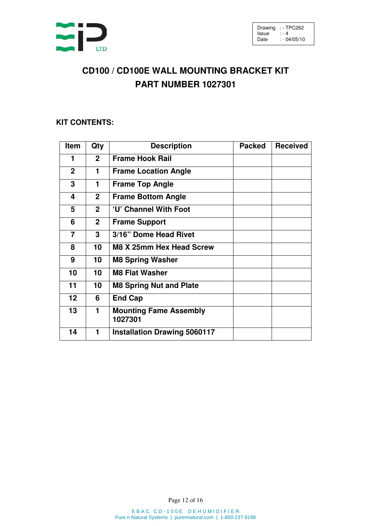

# **CD100 / CD100E WALL MOUNTING BRACKET KIT PART NUMBER 1027301**

### **KIT CONTENTS:**

| Item              | Qty            | <b>Description</b>                       | <b>Packed</b> | <b>Received</b> |
|-------------------|----------------|------------------------------------------|---------------|-----------------|
| 1                 | $\overline{2}$ | <b>Frame Hook Rail</b>                   |               |                 |
| $\mathbf{2}$      | 1              | <b>Frame Location Angle</b>              |               |                 |
| 3                 | 1              | <b>Frame Top Angle</b>                   |               |                 |
| 4                 | $\mathbf{2}$   | <b>Frame Bottom Angle</b>                |               |                 |
| 5                 | $\mathbf{2}$   | 'U' Channel With Foot                    |               |                 |
| 6                 | $\mathbf{2}$   | <b>Frame Support</b>                     |               |                 |
| 7                 | 3              | 3/16" Dome Head Rivet                    |               |                 |
| 8                 | 10             | M8 X 25mm Hex Head Screw                 |               |                 |
| 9                 | 10             | <b>M8 Spring Washer</b>                  |               |                 |
| 10                | 10             | <b>M8 Flat Washer</b>                    |               |                 |
| 11                | 10             | <b>M8 Spring Nut and Plate</b>           |               |                 |
| $12 \overline{ }$ | 6              | <b>End Cap</b>                           |               |                 |
| 13                | 1              | <b>Mounting Fame Assembly</b><br>1027301 |               |                 |
| 14                | 1              | <b>Installation Drawing 5060117</b>      |               |                 |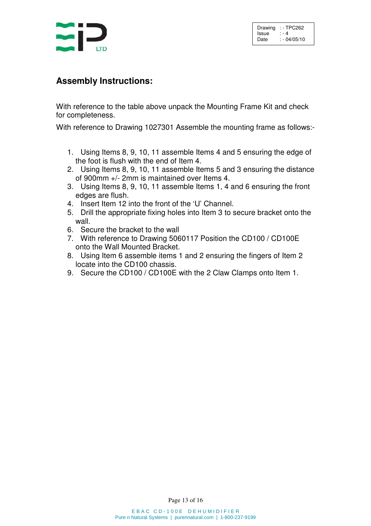

# **Assembly Instructions:**

With reference to the table above unpack the Mounting Frame Kit and check for completeness.

With reference to Drawing 1027301 Assemble the mounting frame as follows:-

- 1. Using Items 8, 9, 10, 11 assemble Items 4 and 5 ensuring the edge of the foot is flush with the end of Item 4.
- 2. Using Items 8, 9, 10, 11 assemble Items 5 and 3 ensuring the distance of 900mm +/- 2mm is maintained over Items 4.
- 3. Using Items 8, 9, 10, 11 assemble Items 1, 4 and 6 ensuring the front edges are flush.
- 4. Insert Item 12 into the front of the 'U' Channel.
- 5. Drill the appropriate fixing holes into Item 3 to secure bracket onto the wall.
- 6. Secure the bracket to the wall
- 7. With reference to Drawing 5060117 Position the CD100 / CD100E onto the Wall Mounted Bracket.
- 8. Using Item 6 assemble items 1 and 2 ensuring the fingers of Item 2 locate into the CD100 chassis.
- 9. Secure the CD100 / CD100E with the 2 Claw Clamps onto Item 1.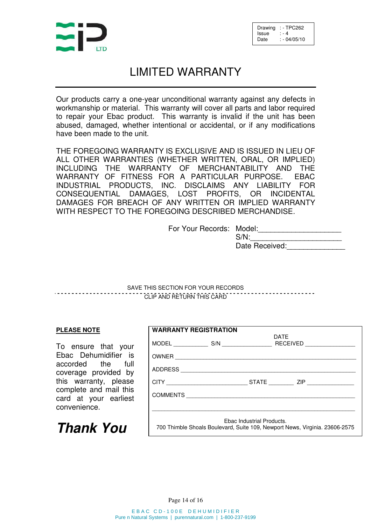

# LIMITED WARRANTY

Our products carry a one-year unconditional warranty against any defects in workmanship or material. This warranty will cover all parts and labor required to repair your Ebac product. This warranty is invalid if the unit has been abused, damaged, whether intentional or accidental, or if any modifications have been made to the unit.

THE FOREGOING WARRANTY IS EXCLUSIVE AND IS ISSUED IN LIEU OF ALL OTHER WARRANTIES (WHETHER WRITTEN, ORAL, OR IMPLIED) INCLUDING THE WARRANTY OF MERCHANTABILITY AND THE WARRANTY OF FITNESS FOR A PARTICULAR PURPOSE. EBAC INDUSTRIAL PRODUCTS, INC. DISCLAIMS ANY LIABILITY FOR CONSEQUENTIAL DAMAGES, LOST PROFITS, OR INCIDENTAL DAMAGES FOR BREACH OF ANY WRITTEN OR IMPLIED WARRANTY WITH RESPECT TO THE FOREGOING DESCRIBED MERCHANDISE.

For Your Records: Model:

 $S/N$ : Date Received:

SAVE THIS SECTION FOR YOUR RECORDS CLIP AND RETURN THIS CARD

#### **PLEASE NOTE**

To ensure that your Ebac Dehumidifier is accorded the full coverage provided by this warranty, please complete and mail this card at your earliest convenience.

**Thank You**

| <b>WARRANTY REGISTRATION</b>                                                                             |  |  |      |                         |
|----------------------------------------------------------------------------------------------------------|--|--|------|-------------------------|
|                                                                                                          |  |  | DATE | RECEIVED ______________ |
|                                                                                                          |  |  |      |                         |
|                                                                                                          |  |  |      |                         |
|                                                                                                          |  |  |      |                         |
|                                                                                                          |  |  |      |                         |
|                                                                                                          |  |  |      |                         |
| Ebac Industrial Products.<br>700 Thimble Shoals Boulevard, Suite 109, Newport News, Virginia. 23606-2575 |  |  |      |                         |

Page 14 of 16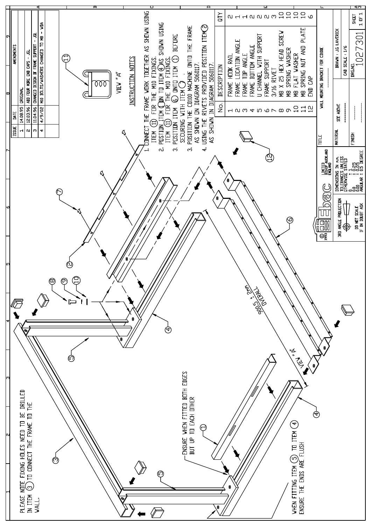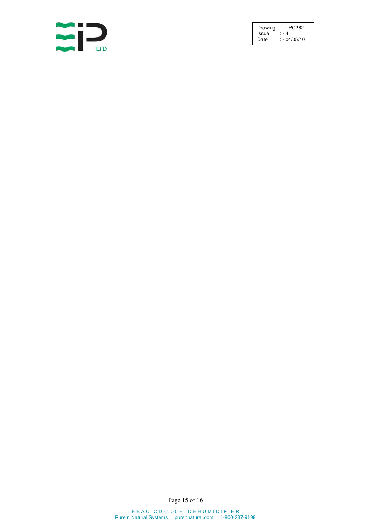

Page 15 of 16

E B A C C D - 100 E D E H U M I D I F I E R Pure n Natural Systems | purennatural.com | 1-800-237-9199